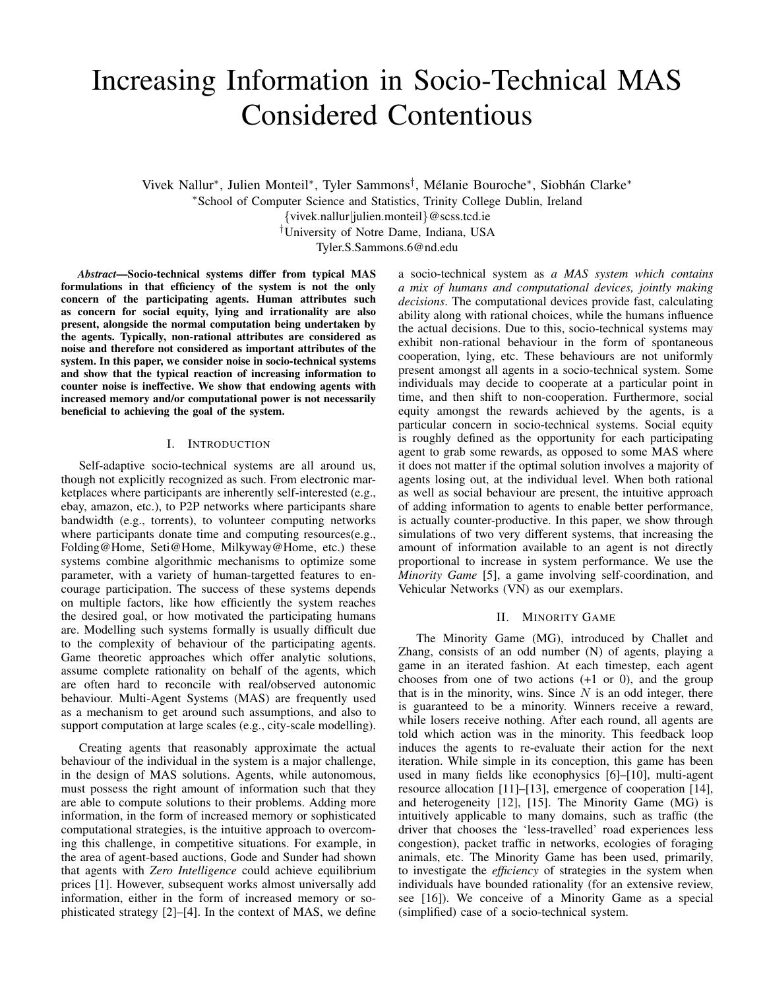# Increasing Information in Socio-Technical MAS Considered Contentious

Vivek Nallur\*, Julien Monteil\*, Tyler Sammons<sup>†</sup>, Mélanie Bouroche\*, Siobhán Clarke\*

<sup>∗</sup>School of Computer Science and Statistics, Trinity College Dublin, Ireland

{vivek.nallur|julien.monteil}@scss.tcd.ie

†University of Notre Dame, Indiana, USA Tyler.S.Sammons.6@nd.edu

*Abstract*—Socio-technical systems differ from typical MAS formulations in that efficiency of the system is not the only concern of the participating agents. Human attributes such as concern for social equity, lying and irrationality are also present, alongside the normal computation being undertaken by the agents. Typically, non-rational attributes are considered as noise and therefore not considered as important attributes of the system. In this paper, we consider noise in socio-technical systems and show that the typical reaction of increasing information to counter noise is ineffective. We show that endowing agents with increased memory and/or computational power is not necessarily beneficial to achieving the goal of the system.

# I. INTRODUCTION

Self-adaptive socio-technical systems are all around us, though not explicitly recognized as such. From electronic marketplaces where participants are inherently self-interested (e.g., ebay, amazon, etc.), to P2P networks where participants share bandwidth (e.g., torrents), to volunteer computing networks where participants donate time and computing resources(e.g., Folding@Home, Seti@Home, Milkyway@Home, etc.) these systems combine algorithmic mechanisms to optimize some parameter, with a variety of human-targetted features to encourage participation. The success of these systems depends on multiple factors, like how efficiently the system reaches the desired goal, or how motivated the participating humans are. Modelling such systems formally is usually difficult due to the complexity of behaviour of the participating agents. Game theoretic approaches which offer analytic solutions, assume complete rationality on behalf of the agents, which are often hard to reconcile with real/observed autonomic behaviour. Multi-Agent Systems (MAS) are frequently used as a mechanism to get around such assumptions, and also to support computation at large scales (e.g., city-scale modelling).

Creating agents that reasonably approximate the actual behaviour of the individual in the system is a major challenge, in the design of MAS solutions. Agents, while autonomous, must possess the right amount of information such that they are able to compute solutions to their problems. Adding more information, in the form of increased memory or sophisticated computational strategies, is the intuitive approach to overcoming this challenge, in competitive situations. For example, in the area of agent-based auctions, Gode and Sunder had shown that agents with *Zero Intelligence* could achieve equilibrium prices [1]. However, subsequent works almost universally add information, either in the form of increased memory or sophisticated strategy [2]–[4]. In the context of MAS, we define a socio-technical system as *a MAS system which contains a mix of humans and computational devices, jointly making decisions*. The computational devices provide fast, calculating ability along with rational choices, while the humans influence the actual decisions. Due to this, socio-technical systems may exhibit non-rational behaviour in the form of spontaneous cooperation, lying, etc. These behaviours are not uniformly present amongst all agents in a socio-technical system. Some individuals may decide to cooperate at a particular point in time, and then shift to non-cooperation. Furthermore, social equity amongst the rewards achieved by the agents, is a particular concern in socio-technical systems. Social equity is roughly defined as the opportunity for each participating agent to grab some rewards, as opposed to some MAS where it does not matter if the optimal solution involves a majority of agents losing out, at the individual level. When both rational as well as social behaviour are present, the intuitive approach of adding information to agents to enable better performance, is actually counter-productive. In this paper, we show through simulations of two very different systems, that increasing the amount of information available to an agent is not directly proportional to increase in system performance. We use the *Minority Game* [5], a game involving self-coordination, and Vehicular Networks (VN) as our exemplars.

## II. MINORITY GAME

The Minority Game (MG), introduced by Challet and Zhang, consists of an odd number (N) of agents, playing a game in an iterated fashion. At each timestep, each agent chooses from one of two actions  $(+1 \text{ or } 0)$ , and the group that is in the minority, wins. Since  $N$  is an odd integer, there is guaranteed to be a minority. Winners receive a reward, while losers receive nothing. After each round, all agents are told which action was in the minority. This feedback loop induces the agents to re-evaluate their action for the next iteration. While simple in its conception, this game has been used in many fields like econophysics [6]–[10], multi-agent resource allocation [11]–[13], emergence of cooperation [14], and heterogeneity [12], [15]. The Minority Game (MG) is intuitively applicable to many domains, such as traffic (the driver that chooses the 'less-travelled' road experiences less congestion), packet traffic in networks, ecologies of foraging animals, etc. The Minority Game has been used, primarily, to investigate the *efficiency* of strategies in the system when individuals have bounded rationality (for an extensive review, see [16]). We conceive of a Minority Game as a special (simplified) case of a socio-technical system.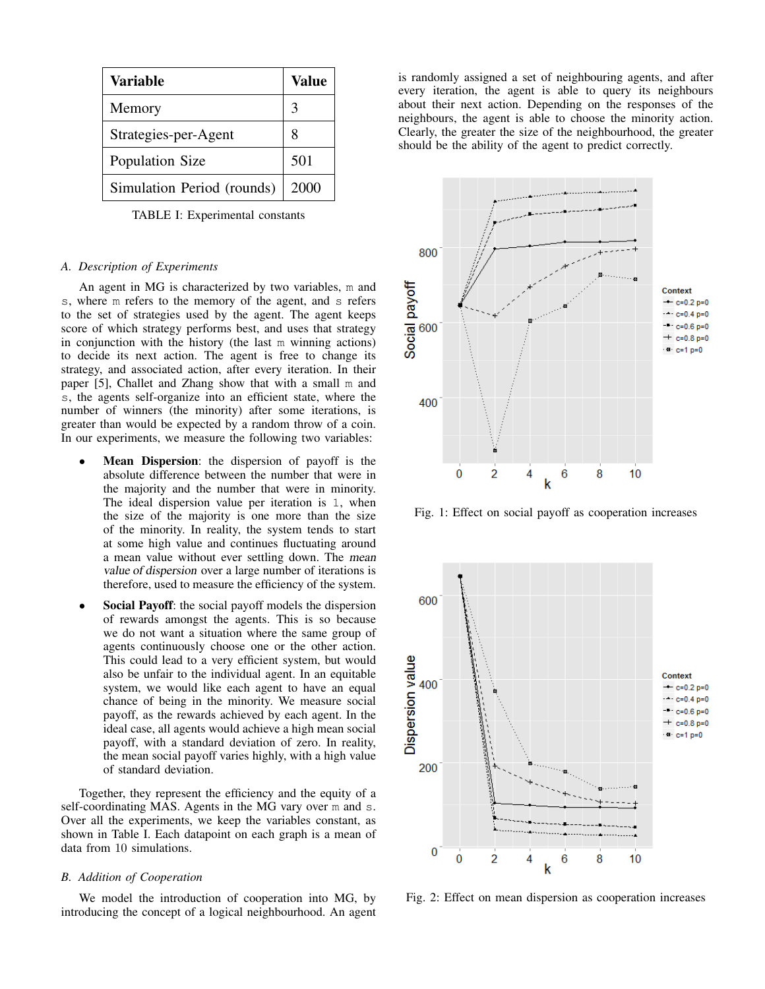| Variable                   | Value |
|----------------------------|-------|
| Memory                     | 3     |
| Strategies-per-Agent       | 8     |
| Population Size            | 501   |
| Simulation Period (rounds) | 2000  |

TABLE I: Experimental constants

## *A. Description of Experiments*

An agent in MG is characterized by two variables, m and s, where m refers to the memory of the agent, and s refers to the set of strategies used by the agent. The agent keeps score of which strategy performs best, and uses that strategy in conjunction with the history (the last m winning actions) to decide its next action. The agent is free to change its strategy, and associated action, after every iteration. In their paper [5], Challet and Zhang show that with a small m and s, the agents self-organize into an efficient state, where the number of winners (the minority) after some iterations, is greater than would be expected by a random throw of a coin. In our experiments, we measure the following two variables:

- Mean Dispersion: the dispersion of payoff is the absolute difference between the number that were in the majority and the number that were in minority. The ideal dispersion value per iteration is 1, when the size of the majority is one more than the size of the minority. In reality, the system tends to start at some high value and continues fluctuating around a mean value without ever settling down. The mean value of dispersion over a large number of iterations is therefore, used to measure the efficiency of the system.
- Social Payoff: the social payoff models the dispersion of rewards amongst the agents. This is so because we do not want a situation where the same group of agents continuously choose one or the other action. This could lead to a very efficient system, but would also be unfair to the individual agent. In an equitable system, we would like each agent to have an equal chance of being in the minority. We measure social payoff, as the rewards achieved by each agent. In the ideal case, all agents would achieve a high mean social payoff, with a standard deviation of zero. In reality, the mean social payoff varies highly, with a high value of standard deviation.

Together, they represent the efficiency and the equity of a self-coordinating MAS. Agents in the MG vary over m and s. Over all the experiments, we keep the variables constant, as shown in Table I. Each datapoint on each graph is a mean of data from 10 simulations.

## *B. Addition of Cooperation*

We model the introduction of cooperation into MG, by introducing the concept of a logical neighbourhood. An agent is randomly assigned a set of neighbouring agents, and after every iteration, the agent is able to query its neighbours about their next action. Depending on the responses of the neighbours, the agent is able to choose the minority action. Clearly, the greater the size of the neighbourhood, the greater should be the ability of the agent to predict correctly.



Fig. 1: Effect on social payoff as cooperation increases



Fig. 2: Effect on mean dispersion as cooperation increases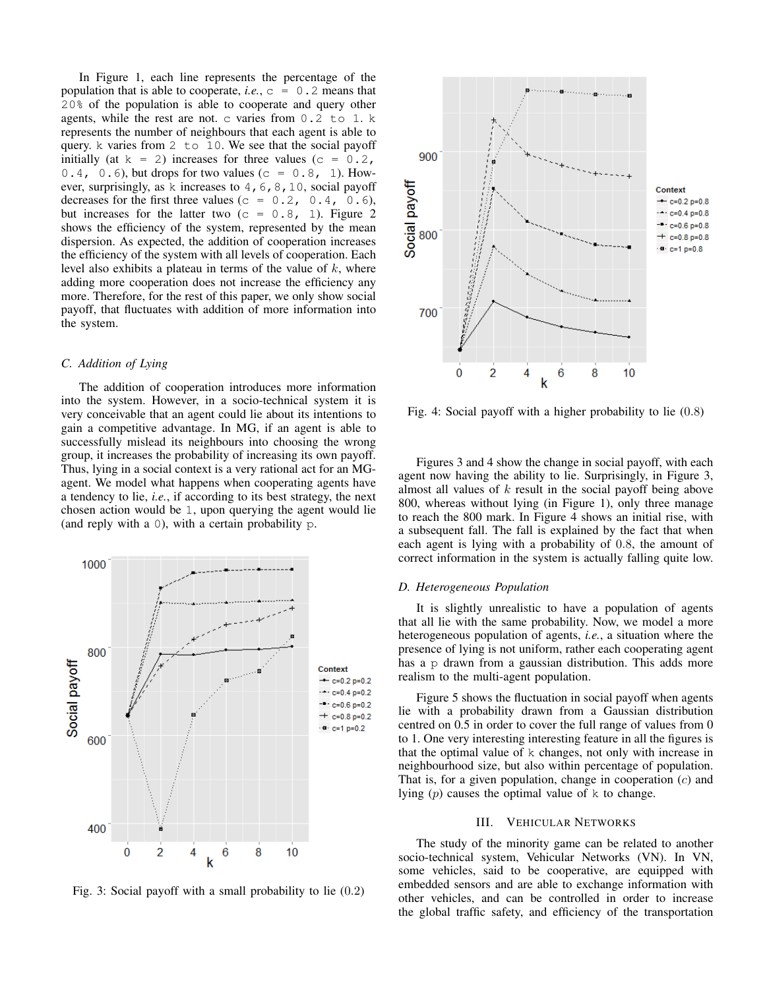In Figure 1, each line represents the percentage of the population that is able to cooperate, *i.e.*,  $c = 0.2$  means that 20% of the population is able to cooperate and query other agents, while the rest are not. c varies from 0.2 to 1. k represents the number of neighbours that each agent is able to query. k varies from 2 to 10. We see that the social payoff initially (at  $k = 2$ ) increases for three values (c = 0.2,  $0.4$ ,  $0.6$ ), but drops for two values (c = 0.8, 1). However, surprisingly, as k increases to  $4, 6, 8, 10$ , social payoff decreases for the first three values ( $c = 0.2, 0.4, 0.6$ ), but increases for the latter two  $(c = 0.8, 1)$ . Figure 2 shows the efficiency of the system, represented by the mean dispersion. As expected, the addition of cooperation increases the efficiency of the system with all levels of cooperation. Each level also exhibits a plateau in terms of the value of  $k$ , where adding more cooperation does not increase the efficiency any more. Therefore, for the rest of this paper, we only show social payoff, that fluctuates with addition of more information into the system.

## *C. Addition of Lying*

The addition of cooperation introduces more information into the system. However, in a socio-technical system it is very conceivable that an agent could lie about its intentions to gain a competitive advantage. In MG, if an agent is able to successfully mislead its neighbours into choosing the wrong group, it increases the probability of increasing its own payoff. Thus, lying in a social context is a very rational act for an MGagent. We model what happens when cooperating agents have a tendency to lie, *i.e.*, if according to its best strategy, the next chosen action would be 1, upon querying the agent would lie (and reply with a 0), with a certain probability p.



Fig. 3: Social payoff with a small probability to lie (0.2)



Fig. 4: Social payoff with a higher probability to lie (0.8)

Figures 3 and 4 show the change in social payoff, with each agent now having the ability to lie. Surprisingly, in Figure 3, almost all values of  $k$  result in the social payoff being above 800, whereas without lying (in Figure 1), only three manage to reach the 800 mark. In Figure 4 shows an initial rise, with a subsequent fall. The fall is explained by the fact that when each agent is lying with a probability of 0.8, the amount of correct information in the system is actually falling quite low.

# *D. Heterogeneous Population*

It is slightly unrealistic to have a population of agents that all lie with the same probability. Now, we model a more heterogeneous population of agents, *i.e.*, a situation where the presence of lying is not uniform, rather each cooperating agent has a p drawn from a gaussian distribution. This adds more realism to the multi-agent population.

Figure 5 shows the fluctuation in social payoff when agents lie with a probability drawn from a Gaussian distribution centred on 0.5 in order to cover the full range of values from 0 to 1. One very interesting interesting feature in all the figures is that the optimal value of k changes, not only with increase in neighbourhood size, but also within percentage of population. That is, for a given population, change in cooperation (c) and lying  $(p)$  causes the optimal value of k to change.

# III. VEHICULAR NETWORKS

The study of the minority game can be related to another socio-technical system, Vehicular Networks (VN). In VN, some vehicles, said to be cooperative, are equipped with embedded sensors and are able to exchange information with other vehicles, and can be controlled in order to increase the global traffic safety, and efficiency of the transportation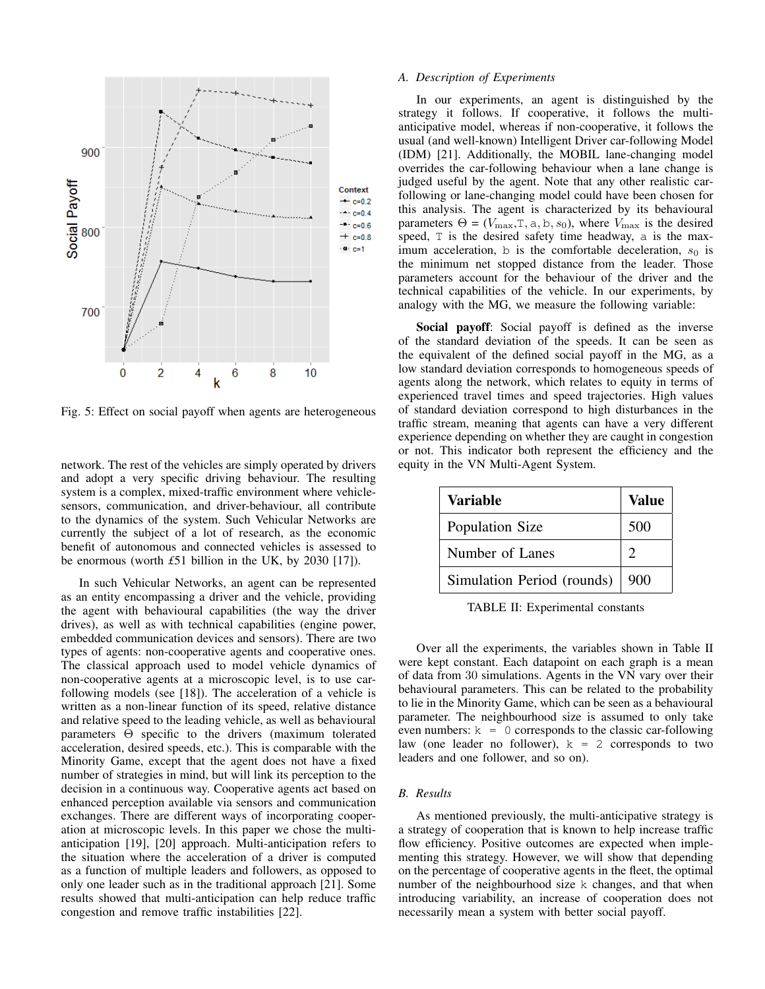

Fig. 5: Effect on social payoff when agents are heterogeneous

network. The rest of the vehicles are simply operated by drivers and adopt a very specific driving behaviour. The resulting system is a complex, mixed-traffic environment where vehiclesensors, communication, and driver-behaviour, all contribute to the dynamics of the system. Such Vehicular Networks are currently the subject of a lot of research, as the economic benefit of autonomous and connected vehicles is assessed to be enormous (worth *£*51 billion in the UK, by 2030 [17]).

In such Vehicular Networks, an agent can be represented as an entity encompassing a driver and the vehicle, providing the agent with behavioural capabilities (the way the driver drives), as well as with technical capabilities (engine power, embedded communication devices and sensors). There are two types of agents: non-cooperative agents and cooperative ones. The classical approach used to model vehicle dynamics of non-cooperative agents at a microscopic level, is to use carfollowing models (see [18]). The acceleration of a vehicle is written as a non-linear function of its speed, relative distance and relative speed to the leading vehicle, as well as behavioural parameters Θ specific to the drivers (maximum tolerated acceleration, desired speeds, etc.). This is comparable with the Minority Game, except that the agent does not have a fixed number of strategies in mind, but will link its perception to the decision in a continuous way. Cooperative agents act based on enhanced perception available via sensors and communication exchanges. There are different ways of incorporating cooperation at microscopic levels. In this paper we chose the multianticipation [19], [20] approach. Multi-anticipation refers to the situation where the acceleration of a driver is computed as a function of multiple leaders and followers, as opposed to only one leader such as in the traditional approach [21]. Some results showed that multi-anticipation can help reduce traffic congestion and remove traffic instabilities [22].

#### *A. Description of Experiments*

In our experiments, an agent is distinguished by the strategy it follows. If cooperative, it follows the multianticipative model, whereas if non-cooperative, it follows the usual (and well-known) Intelligent Driver car-following Model (IDM) [21]. Additionally, the MOBIL lane-changing model overrides the car-following behaviour when a lane change is judged useful by the agent. Note that any other realistic carfollowing or lane-changing model could have been chosen for this analysis. The agent is characterized by its behavioural parameters  $\Theta = (V_{\text{max}}, T, a, b, s_0)$ , where  $V_{\text{max}}$  is the desired speed, T is the desired safety time headway, a is the maximum acceleration, b is the comfortable deceleration,  $s_0$  is the minimum net stopped distance from the leader. Those parameters account for the behaviour of the driver and the technical capabilities of the vehicle. In our experiments, by analogy with the MG, we measure the following variable:

Social payoff: Social payoff is defined as the inverse of the standard deviation of the speeds. It can be seen as the equivalent of the defined social payoff in the MG, as a low standard deviation corresponds to homogeneous speeds of agents along the network, which relates to equity in terms of experienced travel times and speed trajectories. High values of standard deviation correspond to high disturbances in the traffic stream, meaning that agents can have a very different experience depending on whether they are caught in congestion or not. This indicator both represent the efficiency and the equity in the VN Multi-Agent System.

| Variable                   | Value |
|----------------------------|-------|
| Population Size            | 500   |
| Number of Lanes            |       |
| Simulation Period (rounds) | 900   |

TABLE II: Experimental constants

Over all the experiments, the variables shown in Table II were kept constant. Each datapoint on each graph is a mean of data from 30 simulations. Agents in the VN vary over their behavioural parameters. This can be related to the probability to lie in the Minority Game, which can be seen as a behavioural parameter. The neighbourhood size is assumed to only take even numbers:  $k = 0$  corresponds to the classic car-following law (one leader no follower),  $k = 2$  corresponds to two leaders and one follower, and so on).

#### *B. Results*

As mentioned previously, the multi-anticipative strategy is a strategy of cooperation that is known to help increase traffic flow efficiency. Positive outcomes are expected when implementing this strategy. However, we will show that depending on the percentage of cooperative agents in the fleet, the optimal number of the neighbourhood size k changes, and that when introducing variability, an increase of cooperation does not necessarily mean a system with better social payoff.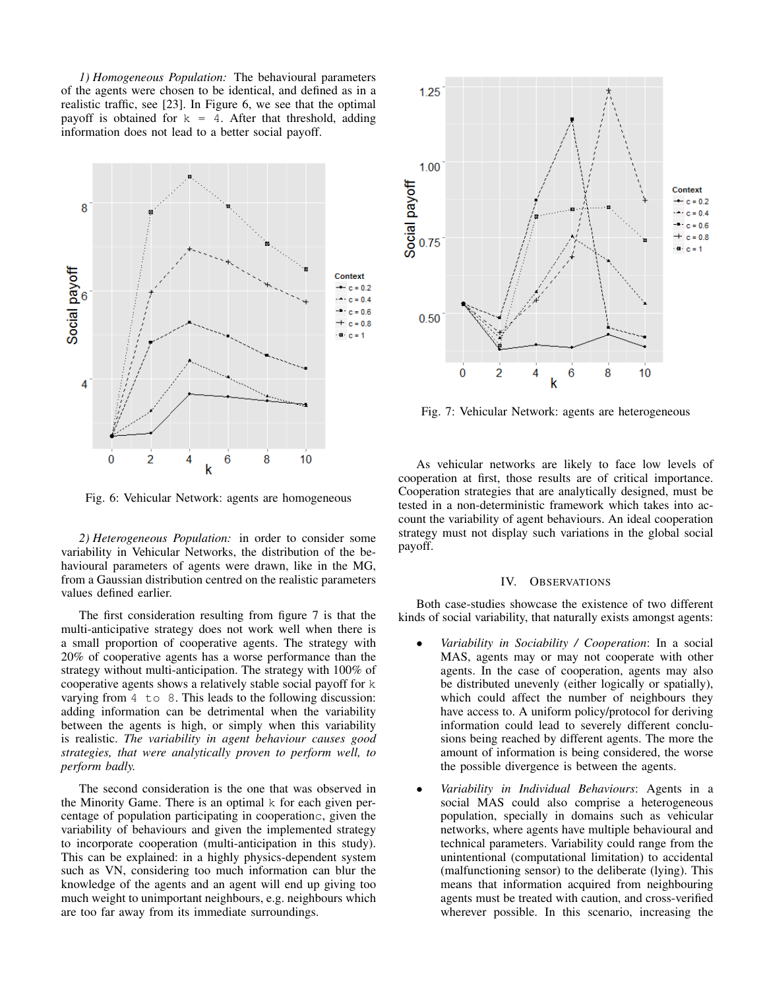*1) Homogeneous Population:* The behavioural parameters of the agents were chosen to be identical, and defined as in a realistic traffic, see [23]. In Figure 6, we see that the optimal payoff is obtained for  $k = 4$ . After that threshold, adding information does not lead to a better social payoff.



Fig. 6: Vehicular Network: agents are homogeneous

*2) Heterogeneous Population:* in order to consider some variability in Vehicular Networks, the distribution of the behavioural parameters of agents were drawn, like in the MG, from a Gaussian distribution centred on the realistic parameters values defined earlier.

The first consideration resulting from figure 7 is that the multi-anticipative strategy does not work well when there is a small proportion of cooperative agents. The strategy with 20% of cooperative agents has a worse performance than the strategy without multi-anticipation. The strategy with 100% of cooperative agents shows a relatively stable social payoff for k varying from 4 to 8. This leads to the following discussion: adding information can be detrimental when the variability between the agents is high, or simply when this variability is realistic. *The variability in agent behaviour causes good strategies, that were analytically proven to perform well, to perform badly.*

The second consideration is the one that was observed in the Minority Game. There is an optimal k for each given percentage of population participating in cooperationc, given the variability of behaviours and given the implemented strategy to incorporate cooperation (multi-anticipation in this study). This can be explained: in a highly physics-dependent system such as VN, considering too much information can blur the knowledge of the agents and an agent will end up giving too much weight to unimportant neighbours, e.g. neighbours which are too far away from its immediate surroundings.



Fig. 7: Vehicular Network: agents are heterogeneous

As vehicular networks are likely to face low levels of cooperation at first, those results are of critical importance. Cooperation strategies that are analytically designed, must be tested in a non-deterministic framework which takes into account the variability of agent behaviours. An ideal cooperation strategy must not display such variations in the global social payoff.

## IV. OBSERVATIONS

Both case-studies showcase the existence of two different kinds of social variability, that naturally exists amongst agents:

- *Variability in Sociability / Cooperation*: In a social MAS, agents may or may not cooperate with other agents. In the case of cooperation, agents may also be distributed unevenly (either logically or spatially), which could affect the number of neighbours they have access to. A uniform policy/protocol for deriving information could lead to severely different conclusions being reached by different agents. The more the amount of information is being considered, the worse the possible divergence is between the agents.
- *Variability in Individual Behaviours*: Agents in a social MAS could also comprise a heterogeneous population, specially in domains such as vehicular networks, where agents have multiple behavioural and technical parameters. Variability could range from the unintentional (computational limitation) to accidental (malfunctioning sensor) to the deliberate (lying). This means that information acquired from neighbouring agents must be treated with caution, and cross-verified wherever possible. In this scenario, increasing the